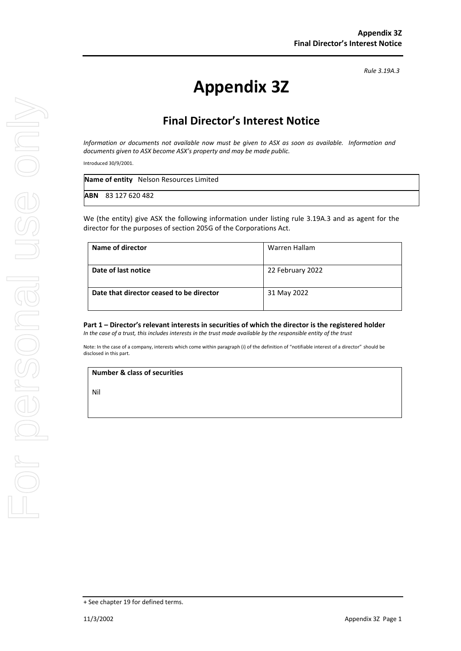*Rule 3.19A.3*

## **Appendix 3Z**

## **Final Director's Interest Notice**

*Information or documents not available now must be given to ASX as soon as available. Information and documents given to ASX become ASX's property and may be made public.*

Introduced 30/9/2001.

| Name of entity Nelson Resources Limited |
|-----------------------------------------|
| <b>ABN</b> 83 127 620 482               |

We (the entity) give ASX the following information under listing rule 3.19A.3 and as agent for the director for the purposes of section 205G of the Corporations Act.

| Name of director                         | Warren Hallam    |
|------------------------------------------|------------------|
| Date of last notice                      | 22 February 2022 |
| Date that director ceased to be director | 31 May 2022      |

**Part 1 – Director's relevant interests in securities of which the director is the registered holder** *In the case of a trust, this includes interests in the trust made available by the responsible entity of the trust*

Note: In the case of a company, interests which come within paragraph (i) of the definition of "notifiable interest of a director" should be disclosed in this part.

**Number & class of securities**

Nil

<sup>+</sup> See chapter 19 for defined terms.